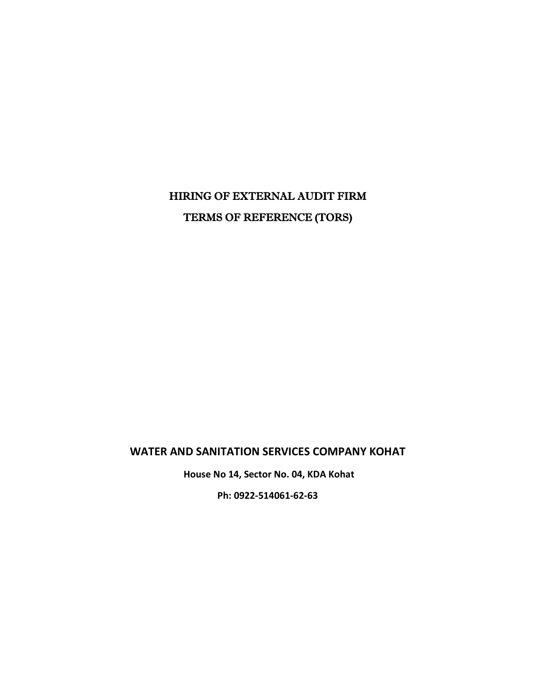# HIRING OF EXTERNAL AUDIT FIRM TERMS OF REFERENCE (TORS)

# **WATER AND SANITATION SERVICES COMPANY KOHAT**

**House No 14, Sector No. 04, KDA Kohat** 

**Ph: 0922-514061-62-63**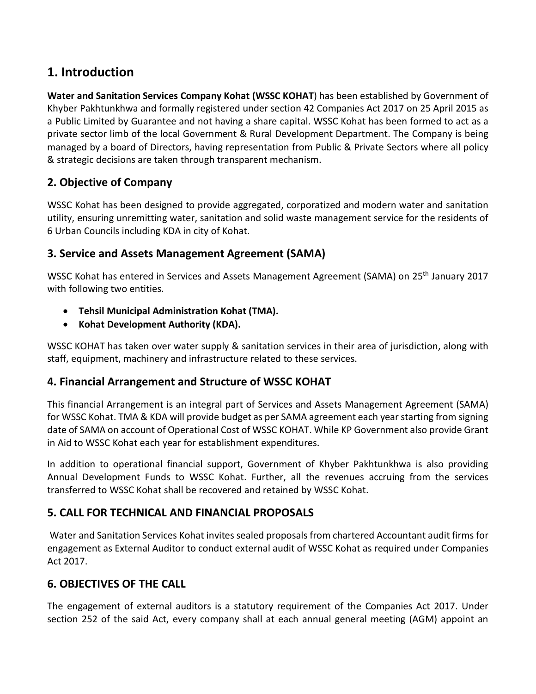# **1. Introduction**

**Water and Sanitation Services Company Kohat (WSSC KOHAT**) has been established by Government of Khyber Pakhtunkhwa and formally registered under section 42 Companies Act 2017 on 25 April 2015 as a Public Limited by Guarantee and not having a share capital. WSSC Kohat has been formed to act as a private sector limb of the local Government & Rural Development Department. The Company is being managed by a board of Directors, having representation from Public & Private Sectors where all policy & strategic decisions are taken through transparent mechanism.

# **2. Objective of Company**

WSSC Kohat has been designed to provide aggregated, corporatized and modern water and sanitation utility, ensuring unremitting water, sanitation and solid waste management service for the residents of 6 Urban Councils including KDA in city of Kohat.

# **3. Service and Assets Management Agreement (SAMA)**

WSSC Kohat has entered in Services and Assets Management Agreement (SAMA) on 25th January 2017 with following two entities.

- **Tehsil Municipal Administration Kohat (TMA).**
- **Kohat Development Authority (KDA).**

WSSC KOHAT has taken over water supply & sanitation services in their area of jurisdiction, along with staff, equipment, machinery and infrastructure related to these services.

#### **4. Financial Arrangement and Structure of WSSC KOHAT**

This financial Arrangement is an integral part of Services and Assets Management Agreement (SAMA) for WSSC Kohat. TMA & KDA will provide budget as per SAMA agreement each year starting from signing date of SAMA on account of Operational Cost of WSSC KOHAT. While KP Government also provide Grant in Aid to WSSC Kohat each year for establishment expenditures.

In addition to operational financial support, Government of Khyber Pakhtunkhwa is also providing Annual Development Funds to WSSC Kohat. Further, all the revenues accruing from the services transferred to WSSC Kohat shall be recovered and retained by WSSC Kohat.

# **5. CALL FOR TECHNICAL AND FINANCIAL PROPOSALS**

Water and Sanitation Services Kohat invites sealed proposals from chartered Accountant audit firms for engagement as External Auditor to conduct external audit of WSSC Kohat as required under Companies Act 2017.

#### **6. OBJECTIVES OF THE CALL**

The engagement of external auditors is a statutory requirement of the Companies Act 2017. Under section 252 of the said Act, every company shall at each annual general meeting (AGM) appoint an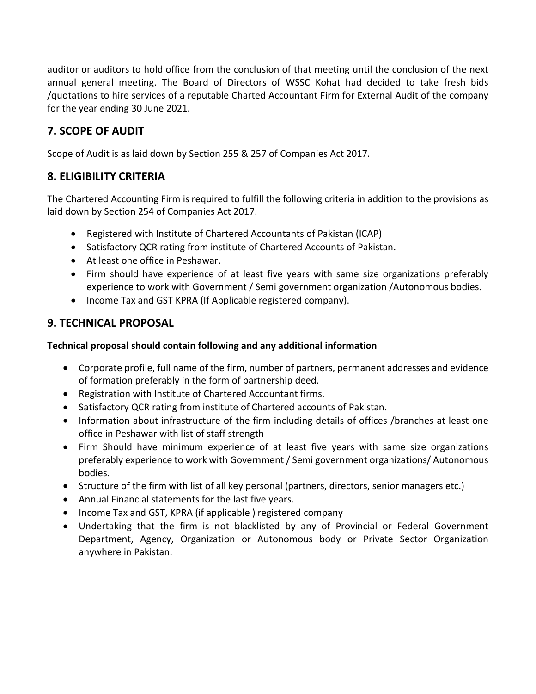auditor or auditors to hold office from the conclusion of that meeting until the conclusion of the next annual general meeting. The Board of Directors of WSSC Kohat had decided to take fresh bids /quotations to hire services of a reputable Charted Accountant Firm for External Audit of the company for the year ending 30 June 2021.

# **7. SCOPE OF AUDIT**

Scope of Audit is as laid down by Section 255 & 257 of Companies Act 2017.

### **8. ELIGIBILITY CRITERIA**

The Chartered Accounting Firm is required to fulfill the following criteria in addition to the provisions as laid down by Section 254 of Companies Act 2017.

- Registered with Institute of Chartered Accountants of Pakistan (ICAP)
- Satisfactory QCR rating from institute of Chartered Accounts of Pakistan.
- At least one office in Peshawar.
- Firm should have experience of at least five years with same size organizations preferably experience to work with Government / Semi government organization /Autonomous bodies.
- Income Tax and GST KPRA (If Applicable registered company).

#### **9. TECHNICAL PROPOSAL**

#### **Technical proposal should contain following and any additional information**

- Corporate profile, full name of the firm, number of partners, permanent addresses and evidence of formation preferably in the form of partnership deed.
- Registration with Institute of Chartered Accountant firms.
- Satisfactory QCR rating from institute of Chartered accounts of Pakistan.
- Information about infrastructure of the firm including details of offices /branches at least one office in Peshawar with list of staff strength
- Firm Should have minimum experience of at least five years with same size organizations preferably experience to work with Government / Semi government organizations/ Autonomous bodies.
- Structure of the firm with list of all key personal (partners, directors, senior managers etc.)
- Annual Financial statements for the last five years.
- Income Tax and GST, KPRA (if applicable ) registered company
- Undertaking that the firm is not blacklisted by any of Provincial or Federal Government Department, Agency, Organization or Autonomous body or Private Sector Organization anywhere in Pakistan.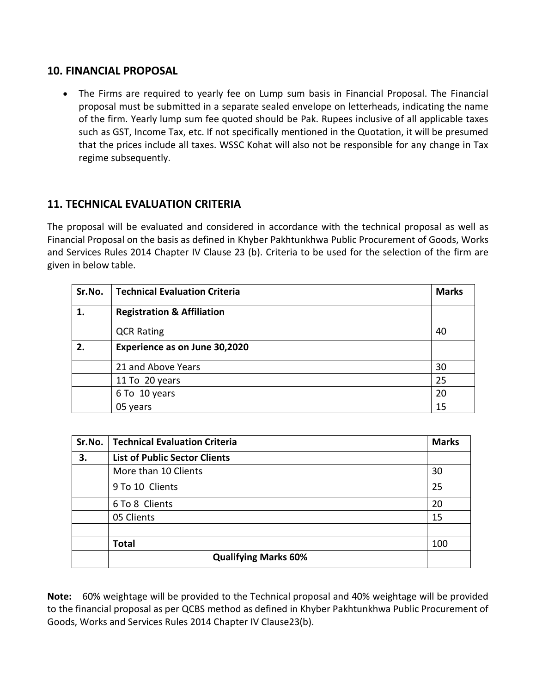#### **10. FINANCIAL PROPOSAL**

• The Firms are required to yearly fee on Lump sum basis in Financial Proposal. The Financial proposal must be submitted in a separate sealed envelope on letterheads, indicating the name of the firm. Yearly lump sum fee quoted should be Pak. Rupees inclusive of all applicable taxes such as GST, Income Tax, etc. If not specifically mentioned in the Quotation, it will be presumed that the prices include all taxes. WSSC Kohat will also not be responsible for any change in Tax regime subsequently.

# **11. TECHNICAL EVALUATION CRITERIA**

The proposal will be evaluated and considered in accordance with the technical proposal as well as Financial Proposal on the basis as defined in Khyber Pakhtunkhwa Public Procurement of Goods, Works and Services Rules 2014 Chapter IV Clause 23 (b). Criteria to be used for the selection of the firm are given in below table.

| Sr.No. | <b>Technical Evaluation Criteria</b>  | <b>Marks</b> |
|--------|---------------------------------------|--------------|
| 1.     | <b>Registration &amp; Affiliation</b> |              |
|        | <b>QCR Rating</b>                     | 40           |
| 2.     | Experience as on June 30,2020         |              |
|        | 21 and Above Years                    | 30           |
|        | 11 To 20 years                        | 25           |
|        | 6 To 10 years                         | 20           |
|        | 05 years                              | 15           |

| Sr.No. | <b>Technical Evaluation Criteria</b> | <b>Marks</b> |
|--------|--------------------------------------|--------------|
| 3.     | <b>List of Public Sector Clients</b> |              |
|        | More than 10 Clients                 | 30           |
|        | 9 To 10 Clients                      | 25           |
|        | 6 To 8 Clients                       | 20           |
|        | 05 Clients                           | 15           |
|        |                                      |              |
|        | <b>Total</b>                         | 100          |
|        | <b>Qualifying Marks 60%</b>          |              |

**Note:** 60% weightage will be provided to the Technical proposal and 40% weightage will be provided to the financial proposal as per QCBS method as defined in Khyber Pakhtunkhwa Public Procurement of Goods, Works and Services Rules 2014 Chapter IV Clause23(b).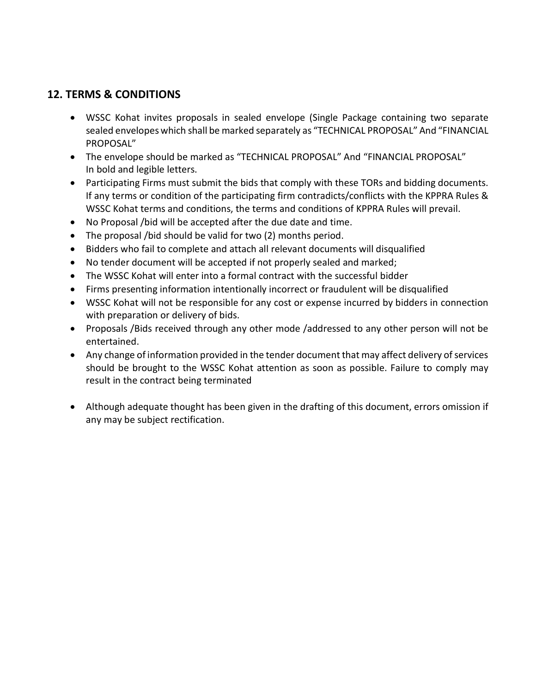### **12. TERMS & CONDITIONS**

- WSSC Kohat invites proposals in sealed envelope (Single Package containing two separate sealed envelopes which shall be marked separately as "TECHNICAL PROPOSAL" And "FINANCIAL PROPOSAL"
- The envelope should be marked as "TECHNICAL PROPOSAL" And "FINANCIAL PROPOSAL" In bold and legible letters.
- Participating Firms must submit the bids that comply with these TORs and bidding documents. If any terms or condition of the participating firm contradicts/conflicts with the KPPRA Rules & WSSC Kohat terms and conditions, the terms and conditions of KPPRA Rules will prevail.
- No Proposal /bid will be accepted after the due date and time.
- The proposal /bid should be valid for two (2) months period.
- Bidders who fail to complete and attach all relevant documents will disqualified
- No tender document will be accepted if not properly sealed and marked;
- The WSSC Kohat will enter into a formal contract with the successful bidder
- Firms presenting information intentionally incorrect or fraudulent will be disqualified
- WSSC Kohat will not be responsible for any cost or expense incurred by bidders in connection with preparation or delivery of bids.
- Proposals /Bids received through any other mode /addressed to any other person will not be entertained.
- Any change of information provided in the tender document that may affect delivery of services should be brought to the WSSC Kohat attention as soon as possible. Failure to comply may result in the contract being terminated
- Although adequate thought has been given in the drafting of this document, errors omission if any may be subject rectification.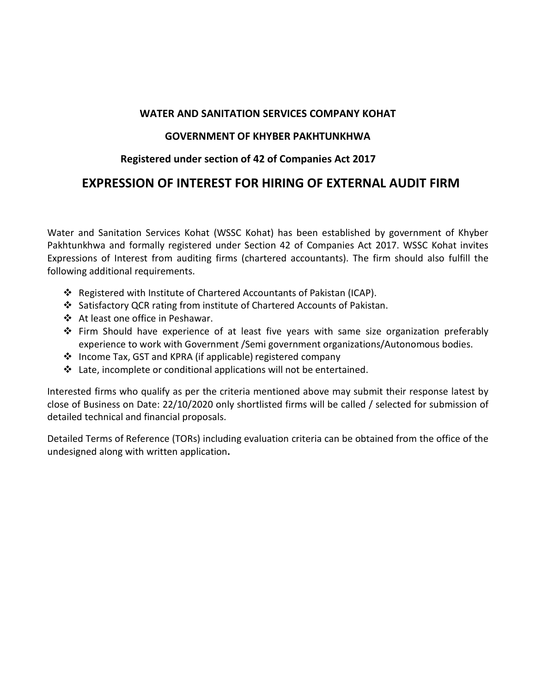#### **WATER AND SANITATION SERVICES COMPANY KOHAT**

#### **GOVERNMENT OF KHYBER PAKHTUNKHWA**

#### **Registered under section of 42 of Companies Act 2017**

# **EXPRESSION OF INTEREST FOR HIRING OF EXTERNAL AUDIT FIRM**

Water and Sanitation Services Kohat (WSSC Kohat) has been established by government of Khyber Pakhtunkhwa and formally registered under Section 42 of Companies Act 2017. WSSC Kohat invites Expressions of Interest from auditing firms (chartered accountants). The firm should also fulfill the following additional requirements.

- Registered with Institute of Chartered Accountants of Pakistan (ICAP).
- Satisfactory QCR rating from institute of Chartered Accounts of Pakistan.
- At least one office in Peshawar.
- $\div$  Firm Should have experience of at least five years with same size organization preferably experience to work with Government /Semi government organizations/Autonomous bodies.
- Income Tax, GST and KPRA (if applicable) registered company
- $\div$  Late, incomplete or conditional applications will not be entertained.

Interested firms who qualify as per the criteria mentioned above may submit their response latest by close of Business on Date: 22/10/2020 only shortlisted firms will be called / selected for submission of detailed technical and financial proposals.

Detailed Terms of Reference (TORs) including evaluation criteria can be obtained from the office of the undesigned along with written application**.**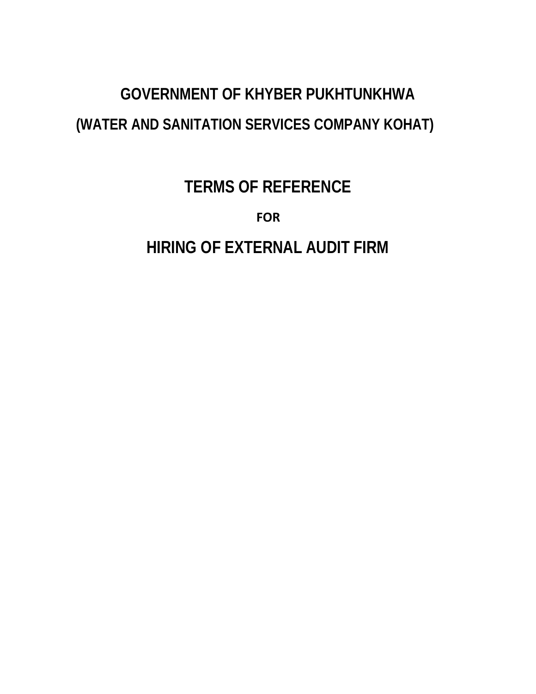# **GOVERNMENT OF KHYBER PUKHTUNKHWA (WATER AND SANITATION SERVICES COMPANY KOHAT)**

# **TERMS OF REFERENCE**

**FOR**

**HIRING OF EXTERNAL AUDIT FIRM**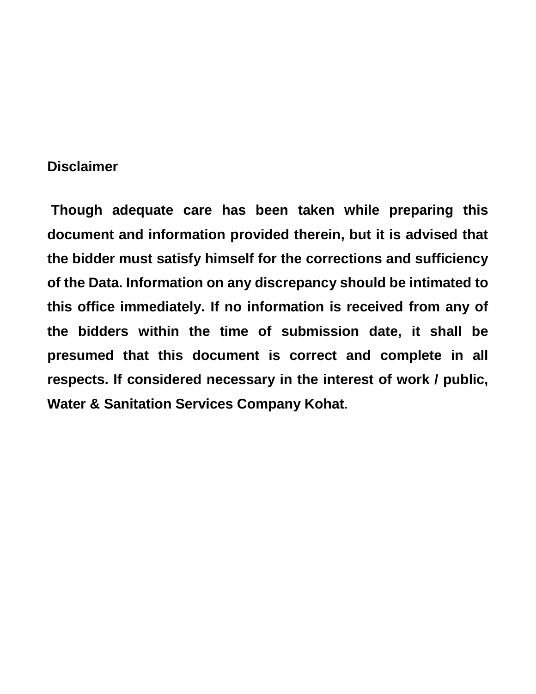# **Disclaimer**

**Though adequate care has been taken while preparing this document and information provided therein, but it is advised that the bidder must satisfy himself for the corrections and sufficiency of the Data. Information on any discrepancy should be intimated to this office immediately. If no information is received from any of the bidders within the time of submission date, it shall be presumed that this document is correct and complete in all respects. If considered necessary in the interest of work / public, Water & Sanitation Services Company Kohat.**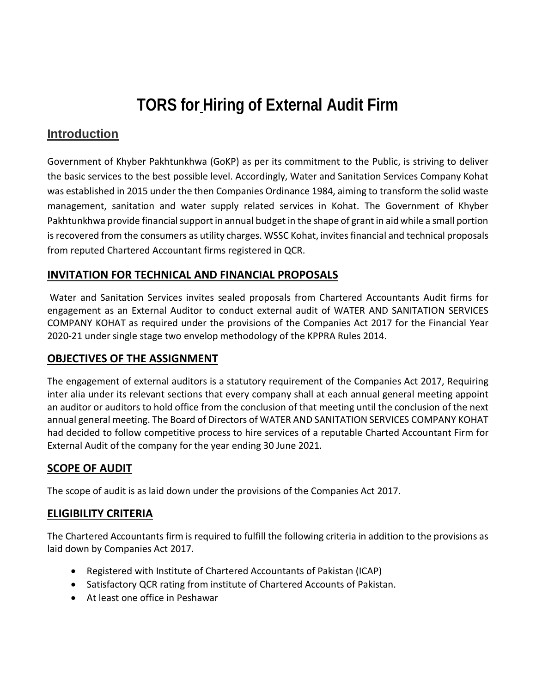# **TORS for Hiring of External Audit Firm**

# **Introduction**

Government of Khyber Pakhtunkhwa (GoKP) as per its commitment to the Public, is striving to deliver the basic services to the best possible level. Accordingly, Water and Sanitation Services Company Kohat was established in 2015 under the then Companies Ordinance 1984, aiming to transform the solid waste management, sanitation and water supply related services in Kohat. The Government of Khyber Pakhtunkhwa provide financial support in annual budget in the shape of grant in aid while a small portion is recovered from the consumers as utility charges. WSSC Kohat, invites financial and technical proposals from reputed Chartered Accountant firms registered in QCR.

#### **INVITATION FOR TECHNICAL AND FINANCIAL PROPOSALS**

Water and Sanitation Services invites sealed proposals from Chartered Accountants Audit firms for engagement as an External Auditor to conduct external audit of WATER AND SANITATION SERVICES COMPANY KOHAT as required under the provisions of the Companies Act 2017 for the Financial Year 2020-21 under single stage two envelop methodology of the KPPRA Rules 2014.

# **OBJECTIVES OF THE ASSIGNMENT**

The engagement of external auditors is a statutory requirement of the Companies Act 2017, Requiring inter alia under its relevant sections that every company shall at each annual general meeting appoint an auditor or auditors to hold office from the conclusion of that meeting until the conclusion of the next annual general meeting. The Board of Directors of WATER AND SANITATION SERVICES COMPANY KOHAT had decided to follow competitive process to hire services of a reputable Charted Accountant Firm for External Audit of the company for the year ending 30 June 2021.

# **SCOPE OF AUDIT**

The scope of audit is as laid down under the provisions of the Companies Act 2017.

# **ELIGIBILITY CRITERIA**

The Chartered Accountants firm is required to fulfill the following criteria in addition to the provisions as laid down by Companies Act 2017.

- Registered with Institute of Chartered Accountants of Pakistan (ICAP)
- Satisfactory QCR rating from institute of Chartered Accounts of Pakistan.
- At least one office in Peshawar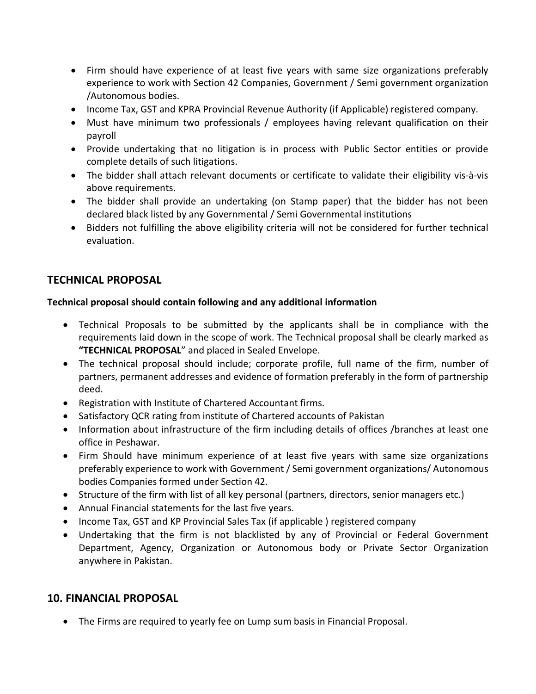- Firm should have experience of at least five years with same size organizations preferably experience to work with Section 42 Companies, Government / Semi government organization /Autonomous bodies.
- Income Tax, GST and KPRA Provincial Revenue Authority (if Applicable) registered company.
- Must have minimum two professionals / employees having relevant qualification on their payroll
- Provide undertaking that no litigation is in process with Public Sector entities or provide complete details of such litigations.
- The bidder shall attach relevant documents or certificate to validate their eligibility vis-à-vis above requirements.
- The bidder shall provide an undertaking (on Stamp paper) that the bidder has not been declared black listed by any Governmental / Semi Governmental institutions
- Bidders not fulfilling the above eligibility criteria will not be considered for further technical evaluation.

#### **TECHNICAL PROPOSAL**

#### **Technical proposal should contain following and any additional information**

- Technical Proposals to be submitted by the applicants shall be in compliance with the requirements laid down in the scope of work. The Technical proposal shall be clearly marked as **"TECHNICAL PROPOSAL**" and placed in Sealed Envelope.
- The technical proposal should include; corporate profile, full name of the firm, number of partners, permanent addresses and evidence of formation preferably in the form of partnership deed.
- Registration with Institute of Chartered Accountant firms.
- Satisfactory QCR rating from institute of Chartered accounts of Pakistan
- Information about infrastructure of the firm including details of offices /branches at least one office in Peshawar.
- Firm Should have minimum experience of at least five years with same size organizations preferably experience to work with Government / Semi government organizations/ Autonomous bodies Companies formed under Section 42.
- Structure of the firm with list of all key personal (partners, directors, senior managers etc.)
- Annual Financial statements for the last five years.
- Income Tax, GST and KP Provincial Sales Tax (if applicable ) registered company
- Undertaking that the firm is not blacklisted by any of Provincial or Federal Government Department, Agency, Organization or Autonomous body or Private Sector Organization anywhere in Pakistan.

#### **10. FINANCIAL PROPOSAL**

• The Firms are required to yearly fee on Lump sum basis in Financial Proposal.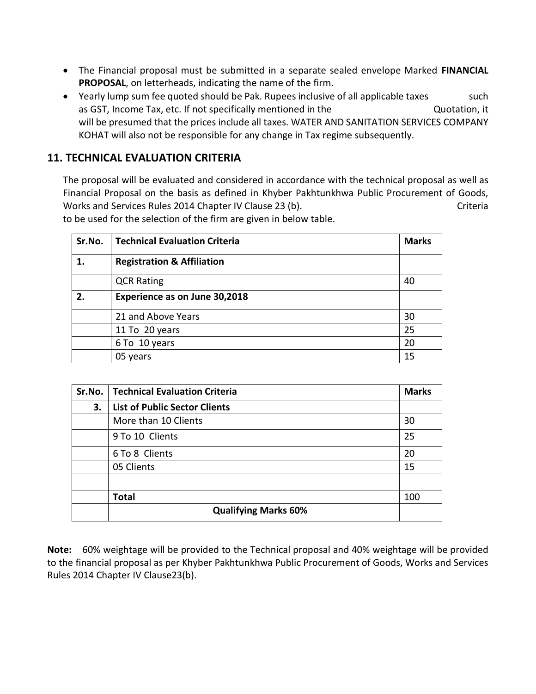- The Financial proposal must be submitted in a separate sealed envelope Marked **FINANCIAL PROPOSAL**, on letterheads, indicating the name of the firm.
- Yearly lump sum fee quoted should be Pak. Rupees inclusive of all applicable taxes such as GST, Income Tax, etc. If not specifically mentioned in the **Quotation**, it will be presumed that the prices include all taxes. WATER AND SANITATION SERVICES COMPANY KOHAT will also not be responsible for any change in Tax regime subsequently.

# **11. TECHNICAL EVALUATION CRITERIA**

The proposal will be evaluated and considered in accordance with the technical proposal as well as Financial Proposal on the basis as defined in Khyber Pakhtunkhwa Public Procurement of Goods, Works and Services Rules 2014 Chapter IV Clause 23 (b). Criteria

to be used for the selection of the firm are given in below table.

| Sr.No. | <b>Technical Evaluation Criteria</b>  | <b>Marks</b> |
|--------|---------------------------------------|--------------|
| 1.     | <b>Registration &amp; Affiliation</b> |              |
|        | <b>QCR Rating</b>                     | 40           |
| 2.     | Experience as on June 30,2018         |              |
|        | 21 and Above Years                    | 30           |
|        | 11 To 20 years                        | 25           |
|        | 6 To 10 years                         | 20           |
|        | 05 years                              | 15           |

| Sr.No. | <b>Technical Evaluation Criteria</b> | <b>Marks</b> |
|--------|--------------------------------------|--------------|
| 3.     | <b>List of Public Sector Clients</b> |              |
|        | More than 10 Clients                 | 30           |
|        | 9 To 10 Clients                      | 25           |
|        | 6 To 8 Clients                       | 20           |
|        | 05 Clients                           | 15           |
|        |                                      |              |
|        | <b>Total</b>                         | 100          |
|        | <b>Qualifying Marks 60%</b>          |              |

**Note:** 60% weightage will be provided to the Technical proposal and 40% weightage will be provided to the financial proposal as per Khyber Pakhtunkhwa Public Procurement of Goods, Works and Services Rules 2014 Chapter IV Clause23(b).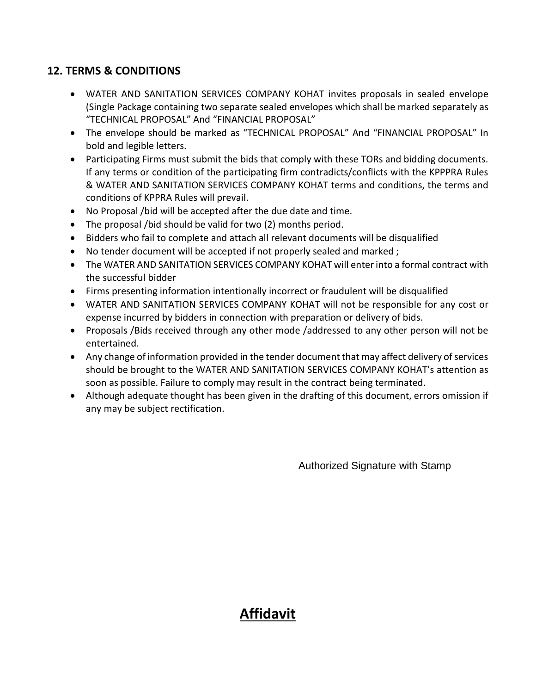# **12. TERMS & CONDITIONS**

- WATER AND SANITATION SERVICES COMPANY KOHAT invites proposals in sealed envelope (Single Package containing two separate sealed envelopes which shall be marked separately as "TECHNICAL PROPOSAL" And "FINANCIAL PROPOSAL"
- The envelope should be marked as "TECHNICAL PROPOSAL" And "FINANCIAL PROPOSAL" In bold and legible letters.
- Participating Firms must submit the bids that comply with these TORs and bidding documents. If any terms or condition of the participating firm contradicts/conflicts with the KPPPRA Rules & WATER AND SANITATION SERVICES COMPANY KOHAT terms and conditions, the terms and conditions of KPPRA Rules will prevail.
- No Proposal /bid will be accepted after the due date and time.
- The proposal /bid should be valid for two (2) months period.
- Bidders who fail to complete and attach all relevant documents will be disqualified
- No tender document will be accepted if not properly sealed and marked ;
- The WATER AND SANITATION SERVICES COMPANY KOHAT will enter into a formal contract with the successful bidder
- Firms presenting information intentionally incorrect or fraudulent will be disqualified
- WATER AND SANITATION SERVICES COMPANY KOHAT will not be responsible for any cost or expense incurred by bidders in connection with preparation or delivery of bids.
- Proposals /Bids received through any other mode /addressed to any other person will not be entertained.
- Any change of information provided in the tender document that may affect delivery of services should be brought to the WATER AND SANITATION SERVICES COMPANY KOHAT's attention as soon as possible. Failure to comply may result in the contract being terminated.
- Although adequate thought has been given in the drafting of this document, errors omission if any may be subject rectification.

Authorized Signature with Stamp

# **Affidavit**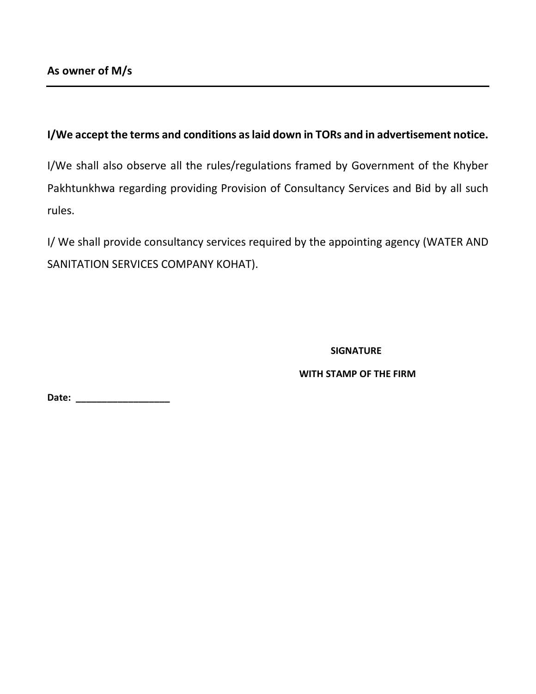#### **I/We accept the terms and conditions as laid down in TORs and in advertisement notice.**

I/We shall also observe all the rules/regulations framed by Government of the Khyber Pakhtunkhwa regarding providing Provision of Consultancy Services and Bid by all such rules.

I/ We shall provide consultancy services required by the appointing agency (WATER AND SANITATION SERVICES COMPANY KOHAT).

#### **SIGNATURE**

#### **WITH STAMP OF THE FIRM**

**Date: \_\_\_\_\_\_\_\_\_\_\_\_\_\_\_\_\_\_**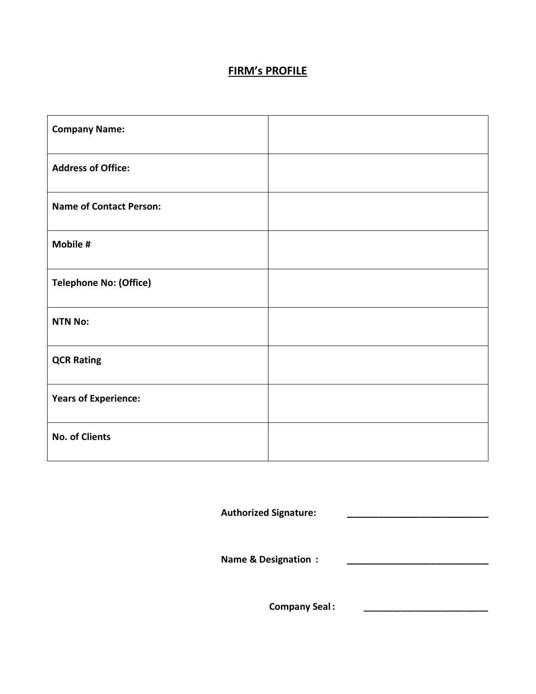# **FIRM's PROFILE**

| <b>Company Name:</b>           |  |
|--------------------------------|--|
| <b>Address of Office:</b>      |  |
| <b>Name of Contact Person:</b> |  |
| Mobile #                       |  |
| <b>Telephone No: (Office)</b>  |  |
| <b>NTN No:</b>                 |  |
| <b>QCR Rating</b>              |  |
| <b>Years of Experience:</b>    |  |
| <b>No. of Clients</b>          |  |

**Authorized Signature: \_\_\_\_\_\_\_\_\_\_\_\_\_\_\_\_\_\_\_\_\_\_\_\_\_\_\_**

**Name & Designation : \_\_\_\_\_\_\_\_\_\_\_\_\_\_\_\_\_\_\_\_\_\_\_\_\_\_\_**

**Company Seal: \_\_\_\_\_\_\_\_\_\_\_\_\_\_\_\_\_\_\_\_\_\_\_\_\_\_**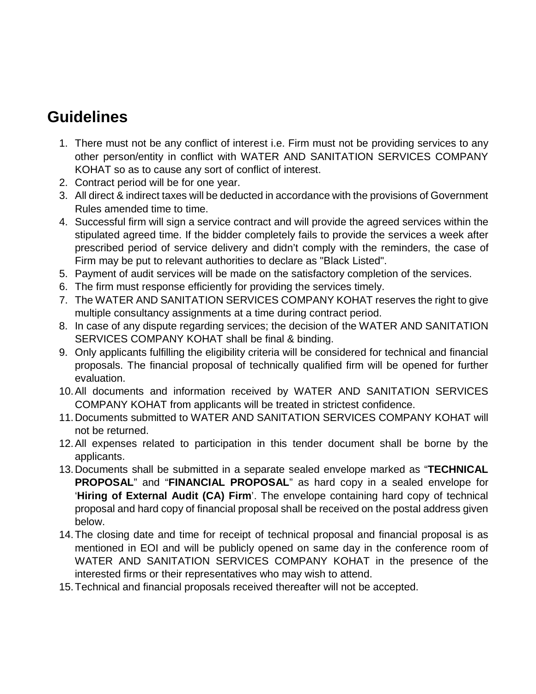# **Guidelines**

- 1. There must not be any conflict of interest i.e. Firm must not be providing services to any other person/entity in conflict with WATER AND SANITATION SERVICES COMPANY KOHAT so as to cause any sort of conflict of interest.
- 2. Contract period will be for one year.
- 3. All direct & indirect taxes will be deducted in accordance with the provisions of Government Rules amended time to time.
- 4. Successful firm will sign a service contract and will provide the agreed services within the stipulated agreed time. If the bidder completely fails to provide the services a week after prescribed period of service delivery and didn't comply with the reminders, the case of Firm may be put to relevant authorities to declare as "Black Listed".
- 5. Payment of audit services will be made on the satisfactory completion of the services.
- 6. The firm must response efficiently for providing the services timely.
- 7. The WATER AND SANITATION SERVICES COMPANY KOHAT reserves the right to give multiple consultancy assignments at a time during contract period.
- 8. In case of any dispute regarding services; the decision of the WATER AND SANITATION SERVICES COMPANY KOHAT shall be final & binding.
- 9. Only applicants fulfilling the eligibility criteria will be considered for technical and financial proposals. The financial proposal of technically qualified firm will be opened for further evaluation.
- 10.All documents and information received by WATER AND SANITATION SERVICES COMPANY KOHAT from applicants will be treated in strictest confidence.
- 11.Documents submitted to WATER AND SANITATION SERVICES COMPANY KOHAT will not be returned.
- 12.All expenses related to participation in this tender document shall be borne by the applicants.
- 13.Documents shall be submitted in a separate sealed envelope marked as "**TECHNICAL PROPOSAL**" and "**FINANCIAL PROPOSAL**" as hard copy in a sealed envelope for '**Hiring of External Audit (CA) Firm**'. The envelope containing hard copy of technical proposal and hard copy of financial proposal shall be received on the postal address given below.
- 14.The closing date and time for receipt of technical proposal and financial proposal is as mentioned in EOI and will be publicly opened on same day in the conference room of WATER AND SANITATION SERVICES COMPANY KOHAT in the presence of the interested firms or their representatives who may wish to attend.
- 15.Technical and financial proposals received thereafter will not be accepted.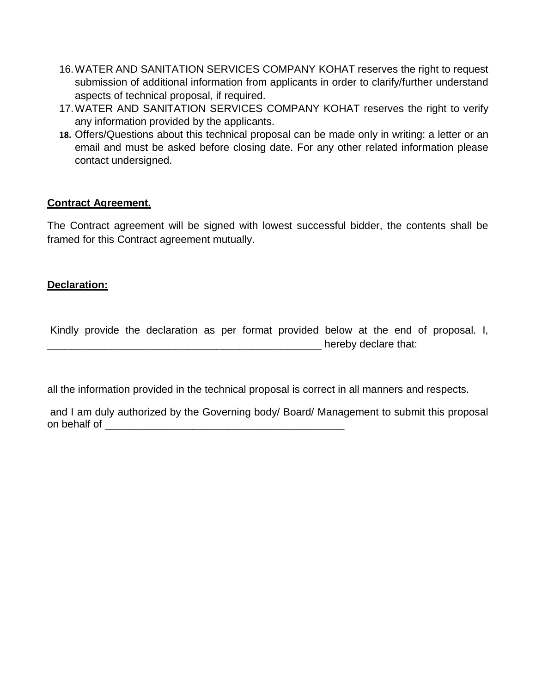- 16.WATER AND SANITATION SERVICES COMPANY KOHAT reserves the right to request submission of additional information from applicants in order to clarify/further understand aspects of technical proposal, if required.
- 17.WATER AND SANITATION SERVICES COMPANY KOHAT reserves the right to verify any information provided by the applicants.
- **18.** Offers/Questions about this technical proposal can be made only in writing: a letter or an email and must be asked before closing date. For any other related information please contact undersigned.

#### **Contract Agreement.**

The Contract agreement will be signed with lowest successful bidder, the contents shall be framed for this Contract agreement mutually.

#### **Declaration:**

Kindly provide the declaration as per format provided below at the end of proposal. I, declare that:

all the information provided in the technical proposal is correct in all manners and respects.

and I am duly authorized by the Governing body/ Board/ Management to submit this proposal on behalf of \_\_\_\_\_\_\_\_\_\_\_\_\_\_\_\_\_\_\_\_\_\_\_\_\_\_\_\_\_\_\_\_\_\_\_\_\_\_\_\_\_